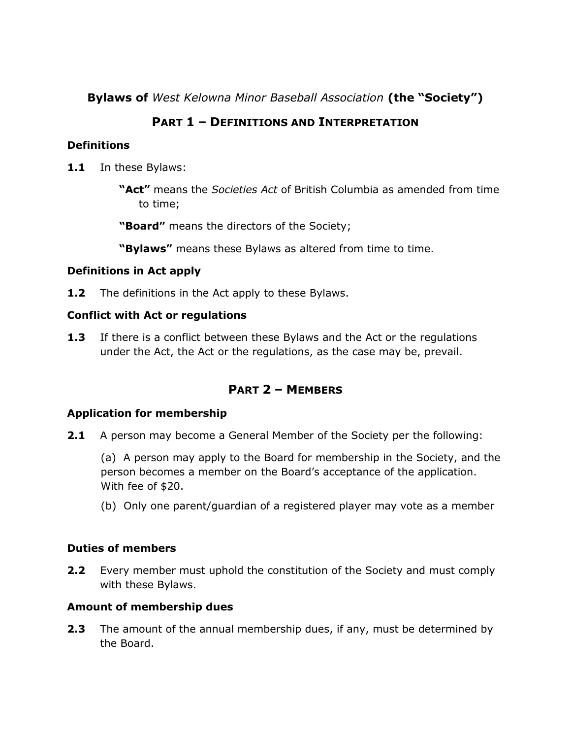**Bylaws of** *West Kelowna Minor Baseball Association* **(the "Society")**

## **PART 1 – DEFINITIONS AND INTERPRETATION**

### **Definitions**

- **1.1** In these Bylaws:
	- **"Act"** means the *Societies Act* of British Columbia as amended from time to time;

**"Board"** means the directors of the Society;

**"Bylaws"** means these Bylaws as altered from time to time.

#### **Definitions in Act apply**

**1.2** The definitions in the Act apply to these Bylaws.

#### **Conflict with Act or regulations**

**1.3** If there is a conflict between these Bylaws and the Act or the regulations under the Act, the Act or the regulations, as the case may be, prevail.

## **PART 2 – MEMBERS**

### **Application for membership**

**2.1** A person may become a General Member of the Society per the following:

(a) A person may apply to the Board for membership in the Society, and the person becomes a member on the Board's acceptance of the application. With fee of \$20.

(b) Only one parent/guardian of a registered player may vote as a member

### **Duties of members**

**2.2** Every member must uphold the constitution of the Society and must comply with these Bylaws.

### **Amount of membership dues**

**2.3** The amount of the annual membership dues, if any, must be determined by the Board.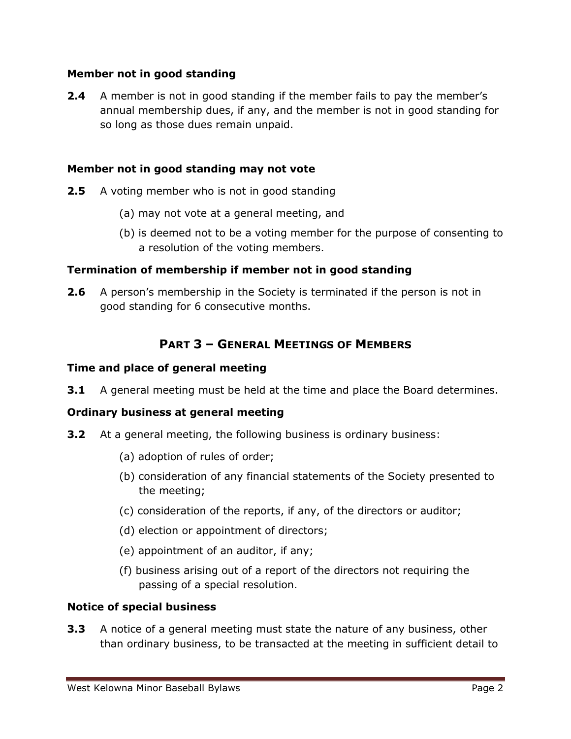#### **Member not in good standing**

**2.4** A member is not in good standing if the member fails to pay the member's annual membership dues, if any, and the member is not in good standing for so long as those dues remain unpaid.

#### **Member not in good standing may not vote**

- **2.5** A voting member who is not in good standing
	- (a) may not vote at a general meeting, and
	- (b) is deemed not to be a voting member for the purpose of consenting to a resolution of the voting members.

### **Termination of membership if member not in good standing**

**2.6** A person's membership in the Society is terminated if the person is not in good standing for 6 consecutive months.

## **PART 3 – GENERAL MEETINGS OF MEMBERS**

#### **Time and place of general meeting**

**3.1** A general meeting must be held at the time and place the Board determines.

### **Ordinary business at general meeting**

- **3.2** At a general meeting, the following business is ordinary business:
	- (a) adoption of rules of order;
	- (b) consideration of any financial statements of the Society presented to the meeting;
	- (c) consideration of the reports, if any, of the directors or auditor;
	- (d) election or appointment of directors;
	- (e) appointment of an auditor, if any;
	- (f) business arising out of a report of the directors not requiring the passing of a special resolution.

#### **Notice of special business**

**3.3** A notice of a general meeting must state the nature of any business, other than ordinary business, to be transacted at the meeting in sufficient detail to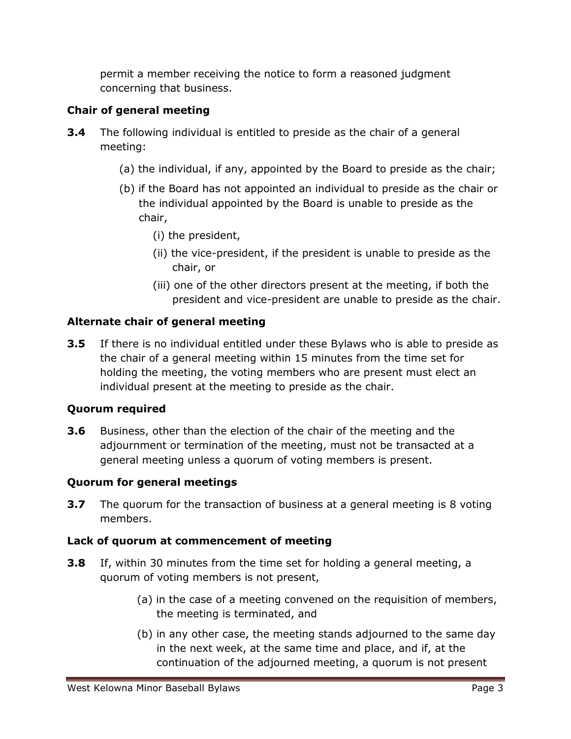permit a member receiving the notice to form a reasoned judgment concerning that business.

## **Chair of general meeting**

- **3.4** The following individual is entitled to preside as the chair of a general meeting:
	- (a) the individual, if any, appointed by the Board to preside as the chair;
	- (b) if the Board has not appointed an individual to preside as the chair or the individual appointed by the Board is unable to preside as the chair,
		- (i) the president,
		- (ii) the vice-president, if the president is unable to preside as the chair, or
		- (iii) one of the other directors present at the meeting, if both the president and vice-president are unable to preside as the chair.

## **Alternate chair of general meeting**

**3.5** If there is no individual entitled under these Bylaws who is able to preside as the chair of a general meeting within 15 minutes from the time set for holding the meeting, the voting members who are present must elect an individual present at the meeting to preside as the chair.

### **Quorum required**

**3.6** Business, other than the election of the chair of the meeting and the adjournment or termination of the meeting, must not be transacted at a general meeting unless a quorum of voting members is present.

### **Quorum for general meetings**

**3.7** The quorum for the transaction of business at a general meeting is 8 voting members.

### **Lack of quorum at commencement of meeting**

- **3.8** If, within 30 minutes from the time set for holding a general meeting, a quorum of voting members is not present,
	- (a) in the case of a meeting convened on the requisition of members, the meeting is terminated, and
	- (b) in any other case, the meeting stands adjourned to the same day in the next week, at the same time and place, and if, at the continuation of the adjourned meeting, a quorum is not present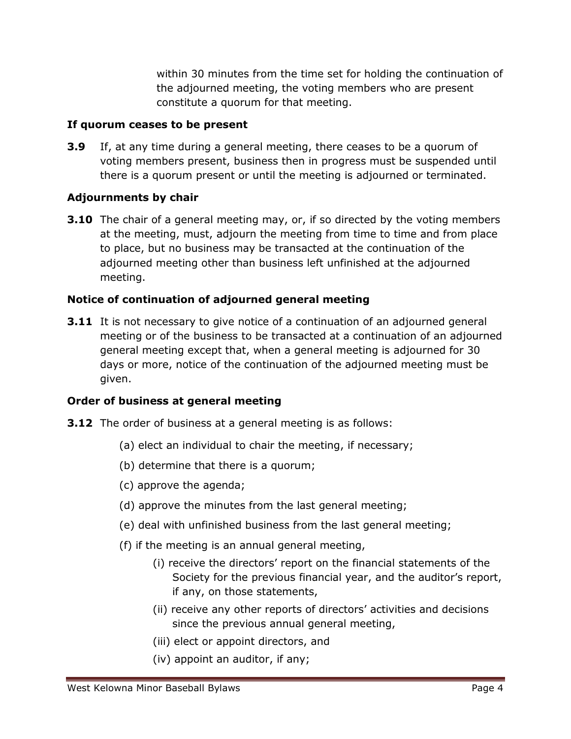within 30 minutes from the time set for holding the continuation of the adjourned meeting, the voting members who are present constitute a quorum for that meeting.

#### **If quorum ceases to be present**

**3.9** If, at any time during a general meeting, there ceases to be a quorum of voting members present, business then in progress must be suspended until there is a quorum present or until the meeting is adjourned or terminated.

### **Adjournments by chair**

**3.10** The chair of a general meeting may, or, if so directed by the voting members at the meeting, must, adjourn the meeting from time to time and from place to place, but no business may be transacted at the continuation of the adjourned meeting other than business left unfinished at the adjourned meeting.

### **Notice of continuation of adjourned general meeting**

**3.11** It is not necessary to give notice of a continuation of an adjourned general meeting or of the business to be transacted at a continuation of an adjourned general meeting except that, when a general meeting is adjourned for 30 days or more, notice of the continuation of the adjourned meeting must be given.

### **Order of business at general meeting**

- **3.12** The order of business at a general meeting is as follows:
	- (a) elect an individual to chair the meeting, if necessary;
	- (b) determine that there is a quorum;
	- (c) approve the agenda;
	- (d) approve the minutes from the last general meeting;
	- (e) deal with unfinished business from the last general meeting;
	- (f) if the meeting is an annual general meeting,
		- (i) receive the directors' report on the financial statements of the Society for the previous financial year, and the auditor's report, if any, on those statements,
		- (ii) receive any other reports of directors' activities and decisions since the previous annual general meeting,
		- (iii) elect or appoint directors, and
		- (iv) appoint an auditor, if any;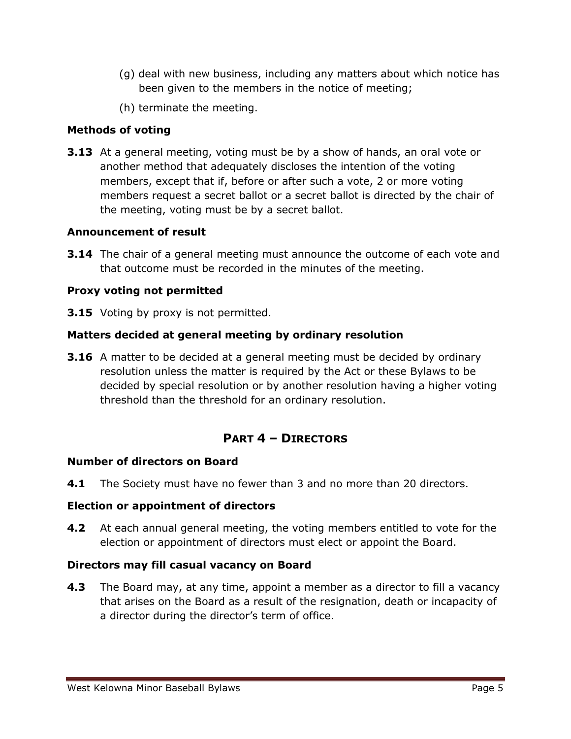- (g) deal with new business, including any matters about which notice has been given to the members in the notice of meeting;
- (h) terminate the meeting.

### **Methods of voting**

**3.13** At a general meeting, voting must be by a show of hands, an oral vote or another method that adequately discloses the intention of the voting members, except that if, before or after such a vote, 2 or more voting members request a secret ballot or a secret ballot is directed by the chair of the meeting, voting must be by a secret ballot.

#### **Announcement of result**

**3.14** The chair of a general meeting must announce the outcome of each vote and that outcome must be recorded in the minutes of the meeting.

### **Proxy voting not permitted**

**3.15** Voting by proxy is not permitted.

### **Matters decided at general meeting by ordinary resolution**

**3.16** A matter to be decided at a general meeting must be decided by ordinary resolution unless the matter is required by the Act or these Bylaws to be decided by special resolution or by another resolution having a higher voting threshold than the threshold for an ordinary resolution.

## **PART 4 – DIRECTORS**

#### **Number of directors on Board**

**4.1** The Society must have no fewer than 3 and no more than 20 directors.

#### **Election or appointment of directors**

**4.2** At each annual general meeting, the voting members entitled to vote for the election or appointment of directors must elect or appoint the Board.

### **Directors may fill casual vacancy on Board**

**4.3** The Board may, at any time, appoint a member as a director to fill a vacancy that arises on the Board as a result of the resignation, death or incapacity of a director during the director's term of office.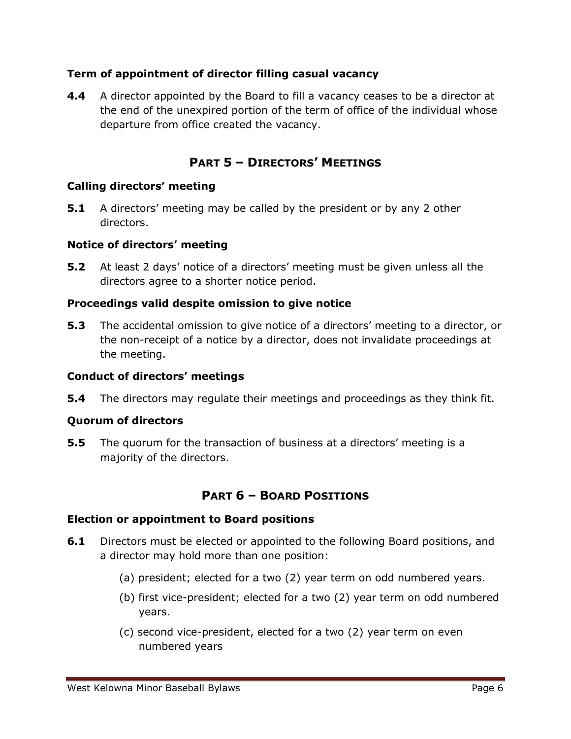#### **Term of appointment of director filling casual vacancy**

**4.4** A director appointed by the Board to fill a vacancy ceases to be a director at the end of the unexpired portion of the term of office of the individual whose departure from office created the vacancy.

## **PART 5 – DIRECTORS' MEETINGS**

#### **Calling directors' meeting**

**5.1** A directors' meeting may be called by the president or by any 2 other directors.

#### **Notice of directors' meeting**

**5.2** At least 2 days' notice of a directors' meeting must be given unless all the directors agree to a shorter notice period.

#### **Proceedings valid despite omission to give notice**

**5.3** The accidental omission to give notice of a directors' meeting to a director, or the non-receipt of a notice by a director, does not invalidate proceedings at the meeting.

#### **Conduct of directors' meetings**

**5.4** The directors may regulate their meetings and proceedings as they think fit.

### **Quorum of directors**

**5.5** The quorum for the transaction of business at a directors' meeting is a majority of the directors.

## **PART 6 – BOARD POSITIONS**

#### **Election or appointment to Board positions**

- **6.1** Directors must be elected or appointed to the following Board positions, and a director may hold more than one position:
	- (a) president; elected for a two (2) year term on odd numbered years.
	- (b) first vice-president; elected for a two (2) year term on odd numbered years.
	- (c) second vice-president, elected for a two (2) year term on even numbered years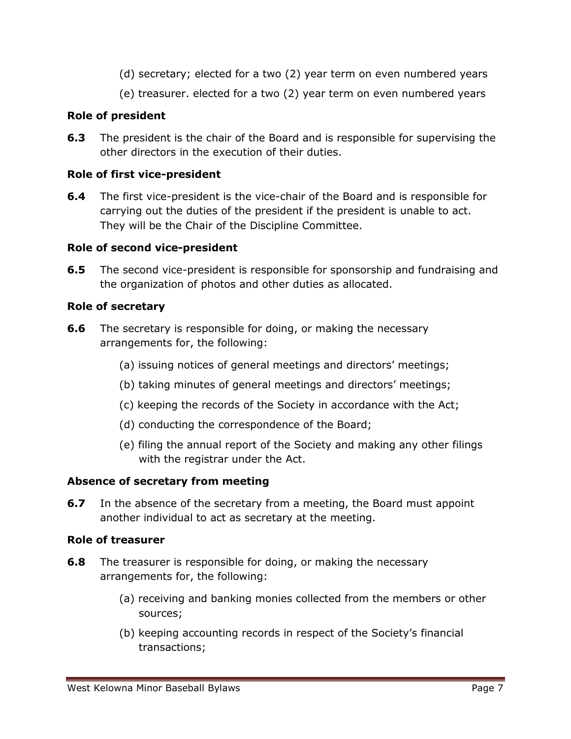- (d) secretary; elected for a two (2) year term on even numbered years
- (e) treasurer. elected for a two (2) year term on even numbered years

### **Role of president**

**6.3** The president is the chair of the Board and is responsible for supervising the other directors in the execution of their duties.

### **Role of first vice-president**

**6.4** The first vice-president is the vice-chair of the Board and is responsible for carrying out the duties of the president if the president is unable to act. They will be the Chair of the Discipline Committee.

#### **Role of second vice-president**

**6.5** The second vice-president is responsible for sponsorship and fundraising and the organization of photos and other duties as allocated.

#### **Role of secretary**

- **6.6** The secretary is responsible for doing, or making the necessary arrangements for, the following:
	- (a) issuing notices of general meetings and directors' meetings;
	- (b) taking minutes of general meetings and directors' meetings;
	- (c) keeping the records of the Society in accordance with the Act;
	- (d) conducting the correspondence of the Board;
	- (e) filing the annual report of the Society and making any other filings with the registrar under the Act.

### **Absence of secretary from meeting**

**6.7** In the absence of the secretary from a meeting, the Board must appoint another individual to act as secretary at the meeting.

#### **Role of treasurer**

- **6.8** The treasurer is responsible for doing, or making the necessary arrangements for, the following:
	- (a) receiving and banking monies collected from the members or other sources;
	- (b) keeping accounting records in respect of the Society's financial transactions;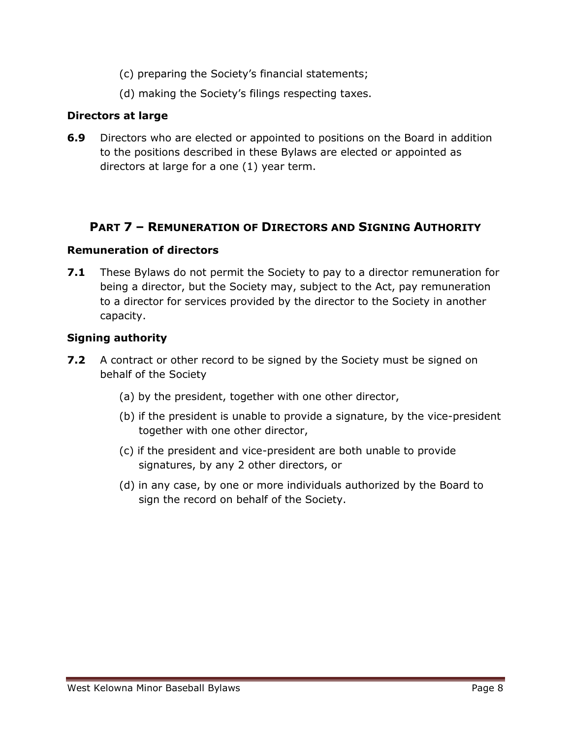- (c) preparing the Society's financial statements;
- (d) making the Society's filings respecting taxes.

#### **Directors at large**

**6.9** Directors who are elected or appointed to positions on the Board in addition to the positions described in these Bylaws are elected or appointed as directors at large for a one (1) year term.

## **PART 7 – REMUNERATION OF DIRECTORS AND SIGNING AUTHORITY**

#### **Remuneration of directors**

**7.1** These Bylaws do not permit the Society to pay to a director remuneration for being a director, but the Society may, subject to the Act, pay remuneration to a director for services provided by the director to the Society in another capacity.

#### **Signing authority**

- **7.2** A contract or other record to be signed by the Society must be signed on behalf of the Society
	- (a) by the president, together with one other director,
	- (b) if the president is unable to provide a signature, by the vice-president together with one other director,
	- (c) if the president and vice-president are both unable to provide signatures, by any 2 other directors, or
	- (d) in any case, by one or more individuals authorized by the Board to sign the record on behalf of the Society.